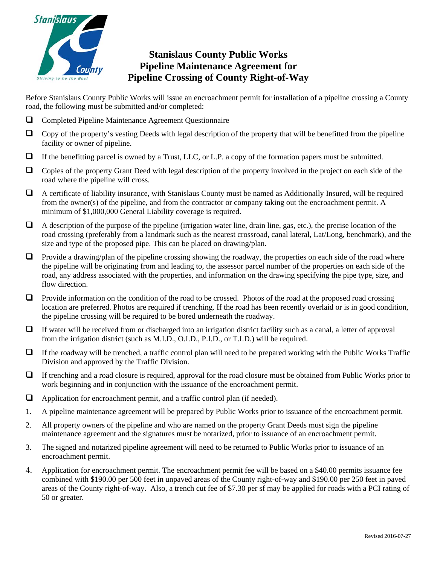

# **Stanislaus County Public Works Pipeline Maintenance Agreement for Pipeline Crossing of County Right-of-Way**

Before Stanislaus County Public Works will issue an encroachment permit for installation of a pipeline crossing a County road, the following must be submitted and/or completed:

- Completed Pipeline Maintenance Agreement Questionnaire
- $\Box$  Copy of the property's vesting Deeds with legal description of the property that will be benefitted from the pipeline facility or owner of pipeline.
- $\Box$  If the benefitting parcel is owned by a Trust, LLC, or L.P. a copy of the formation papers must be submitted.
- $\Box$  Copies of the property Grant Deed with legal description of the property involved in the project on each side of the road where the pipeline will cross.
- A certificate of liability insurance, with Stanislaus County must be named as Additionally Insured, will be required from the owner(s) of the pipeline, and from the contractor or company taking out the encroachment permit. A minimum of \$1,000,000 General Liability coverage is required.
- $\Box$  A description of the purpose of the pipeline (irrigation water line, drain line, gas, etc.), the precise location of the road crossing (preferably from a landmark such as the nearest crossroad, canal lateral, Lat/Long, benchmark), and the size and type of the proposed pipe. This can be placed on drawing/plan.
- **Provide a drawing/plan of the pipeline crossing showing the roadway, the properties on each side of the road where** the pipeline will be originating from and leading to, the assessor parcel number of the properties on each side of the road, any address associated with the properties, and information on the drawing specifying the pipe type, size, and flow direction.
- $\Box$  Provide information on the condition of the road to be crossed. Photos of the road at the proposed road crossing location are preferred. Photos are required if trenching. If the road has been recently overlaid or is in good condition, the pipeline crossing will be required to be bored underneath the roadway.
- $\Box$  If water will be received from or discharged into an irrigation district facility such as a canal, a letter of approval from the irrigation district (such as M.I.D., O.I.D., P.I.D., or T.I.D.) will be required.
- $\Box$  If the roadway will be trenched, a traffic control plan will need to be prepared working with the Public Works Traffic Division and approved by the Traffic Division.
- If trenching and a road closure is required, approval for the road closure must be obtained from Public Works prior to work beginning and in conjunction with the issuance of the encroachment permit.
- $\Box$  Application for encroachment permit, and a traffic control plan (if needed).
- 1. A pipeline maintenance agreement will be prepared by Public Works prior to issuance of the encroachment permit.
- 2. All property owners of the pipeline and who are named on the property Grant Deeds must sign the pipeline maintenance agreement and the signatures must be notarized, prior to issuance of an encroachment permit.
- 3. The signed and notarized pipeline agreement will need to be returned to Public Works prior to issuance of an encroachment permit.
- 4. Application for encroachment permit. The encroachment permit fee will be based on a \$40.00 permits issuance fee combined with \$190.00 per 500 feet in unpaved areas of the County right-of-way and \$190.00 per 250 feet in paved areas of the County right-of-way. Also, a trench cut fee of \$7.30 per sf may be applied for roads with a PCI rating of 50 or greater.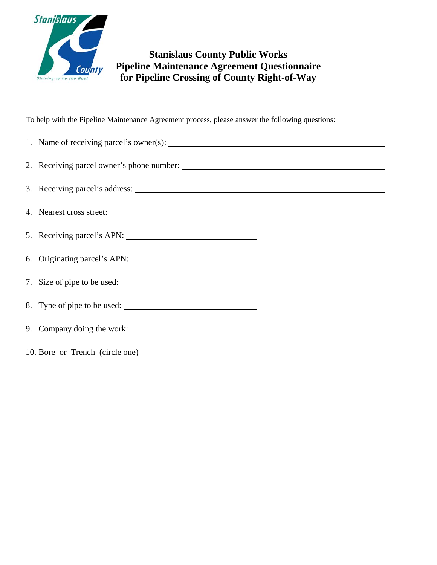

## **Stanislaus County Public Works Pipeline Maintenance Agreement Questionnaire for Pipeline Crossing of County Right-of-Way**

To help with the Pipeline Maintenance Agreement process, please answer the following questions:

| 4. Nearest cross street:        |
|---------------------------------|
|                                 |
|                                 |
| 7. Size of pipe to be used:     |
| 8. Type of pipe to be used:     |
|                                 |
| 10. Bore or Trench (circle one) |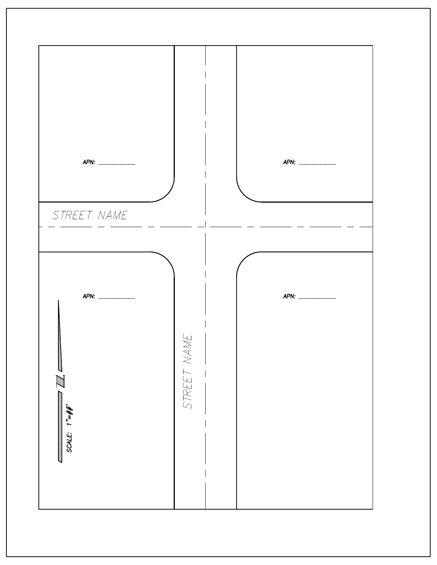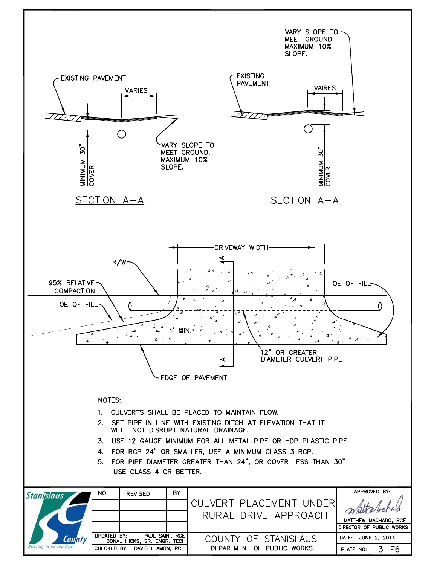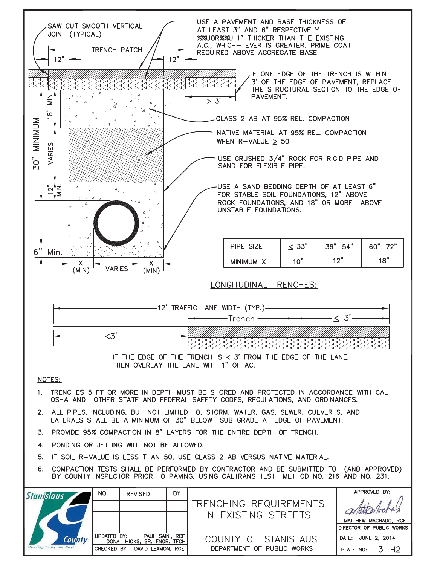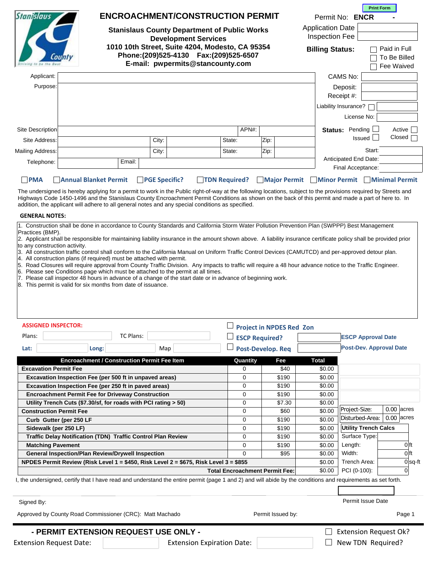| <b>Stanislaus County Department of Public Works</b><br><b>Inspection Fee</b><br><b>Development Services</b><br>1010 10th Street, Suite 4204, Modesto, CA 95354<br>Paid in Full<br><b>Billing Status:</b><br>Phone:(209)525-4130 Fax:(209)525-6507<br>To Be Billed<br>E-mail: pwpermits@stancounty.com<br>Fee Waived<br>Applicant:<br>CAMS No:<br>Purpose:<br>Deposit:<br>Receipt #:<br>Liability Insurance?<br>License No:<br>APN#:<br>Status: Pending<br>Active<br>Site Description<br>Closed [<br>Issued<br>Zip:<br>City:<br>State:<br>Site Address:<br>Start:<br>Zip:<br>State:<br>City:<br>Anticipated End Date:<br>Email:<br>Telephone:<br>Final Acceptance:<br><b>PMA</b><br><b>PGE Specific?</b><br>TDN Required?<br><b>Major Permit</b><br>Minor Permit Minimal Permit<br><b>Annual Blanket Permit</b><br>The undersigned is hereby applying for a permit to work in the Public right-of-way at the following locations, subject to the provisions required by Streets and<br>Highways Code 1450-1496 and the Stanislaus County Encroachment Permit Conditions as shown on the back of this permit and made a part of here to. In<br>addition, the applicant will adhere to all general notes and any special conditions as specified.<br><b>GENERAL NOTES:</b><br>1. Construction shall be done in accordance to County Standards and California Storm Water Pollution Prevention Plan (SWPPP) Best Management<br>Practices (BMP).<br>2. Applicant shall be responsible for maintaining liability insurance in the amount shown above. A liability insurance certificate policy shall be provided prior<br>to any construction activity.<br>3. All construction traffic control shall conform to the California Manual on Uniform Traffic Control Devices (CAMUTCD) and per-approved detour plan.<br>4. All construction plans (if required) must be attached with permit.<br>5. Road Closures will require approval from County Traffic Division. Any impacts to traffic will require a 48 hour advance notice to the Traffic Engineer.<br>6. Please see Conditions page which must be attached to the permit at all times.<br>7. Please call inspector 48 hours in advance of a change of the start date or in advance of beginning work.<br>8. This permit is valid for six months from date of issuance.<br><b>ASSIGNED INSPECTOR:</b><br><b>Project in NPDES Red Zon</b><br>TC Plans:<br>Plans:<br><b>ESCP Approval Date</b><br><b>ESCP Required?</b><br><b>Post-Dev. Approval Date</b><br><b>Post-Develop. Req</b><br>Lat:<br>Long:<br>Map<br><b>Encroachment / Construction Permit Fee Item</b><br>Fee<br>Quantity<br><b>Total</b><br><b>Excavation Permit Fee</b><br>0<br>\$40<br>\$0.00<br>\$190<br>Excavation Inspection Fee (per 500 ft in unpaved areas)<br>0<br>\$0.00<br>Excavation Inspection Fee (per 250 ft in paved areas)<br>\$190<br>\$0.00<br>0<br><b>Encroachment Permit Fee for Driveway Construction</b><br>0<br>\$190<br>\$0.00<br>Utility Trench Cuts (\$7.30/sf, for roads with PCI rating > 50)<br>0<br>\$7.30<br>\$0.00<br>$0.00$ acres<br>Project-Size:<br>\$60<br>\$0.00<br><b>Construction Permit Fee</b><br>0<br>$0.00$ acres<br>Disturbed-Area:<br>\$190<br>\$0.00<br>0<br>Curb Gutter (per 250 LF<br><b>Utility Trench Calcs</b><br>\$190<br>Sidewalk (per 250 LF)<br>0<br>\$0.00<br>Surface Type:<br>Traffic Delay Notification (TDN) Traffic Control Plan Review<br>0<br>\$190<br>\$0.00<br>0 <sup>ft</sup><br>0<br>\$190<br>Length:<br><b>Matching Pavement</b><br>\$0.00<br>Width:<br>0 <sup>ft</sup><br><b>General Inspection/Plan Review/Drywell Inspection</b><br>0<br>\$95<br>\$0.00<br>Trench Area:<br>NPDES Permit Review (Risk Level 1 = \$450, Risk Level 2 = \$675, Risk Level 3 = \$855<br>\$0.00<br>PCI (0-100):<br><b>Total Encroachment Permit Fee:</b><br>\$0.00<br>$\Omega$<br>I, the undersigned, certify that I have read and understand the entire permit (page 1 and 2) and will abide by the conditions and requirements as set forth.<br>Permit Issue Date<br>Signed By: | Stanislaus |  | <b>ENCROACHMENT/CONSTRUCTION PERMIT</b> |  |  |  | <b>Application Date</b> | Permit No: ENCR | <b>Print Form</b> |           |
|-----------------------------------------------------------------------------------------------------------------------------------------------------------------------------------------------------------------------------------------------------------------------------------------------------------------------------------------------------------------------------------------------------------------------------------------------------------------------------------------------------------------------------------------------------------------------------------------------------------------------------------------------------------------------------------------------------------------------------------------------------------------------------------------------------------------------------------------------------------------------------------------------------------------------------------------------------------------------------------------------------------------------------------------------------------------------------------------------------------------------------------------------------------------------------------------------------------------------------------------------------------------------------------------------------------------------------------------------------------------------------------------------------------------------------------------------------------------------------------------------------------------------------------------------------------------------------------------------------------------------------------------------------------------------------------------------------------------------------------------------------------------------------------------------------------------------------------------------------------------------------------------------------------------------------------------------------------------------------------------------------------------------------------------------------------------------------------------------------------------------------------------------------------------------------------------------------------------------------------------------------------------------------------------------------------------------------------------------------------------------------------------------------------------------------------------------------------------------------------------------------------------------------------------------------------------------------------------------------------------------------------------------------------------------------------------------------------------------------------------------------------------------------------------------------------------------------------------------------------------------------------------------------------------------------------------------------------------------------------------------------------------------------------------------------------------------------------------------------------------------------------------------------------------------------------------------------------------------------------------------------------------------------------------------------------------------------------------------------------------------------------------------------------------------------------------------------------------------------------------------------------------------------------------------------------------------------------------------------------------------------------------------------------------------------------------------------------------------------------------------------------------------------------------------------------------------------------------------------------------------------------------------------------------------------------------------------------------------------------------------------------------------------------------------|------------|--|-----------------------------------------|--|--|--|-------------------------|-----------------|-------------------|-----------|
|                                                                                                                                                                                                                                                                                                                                                                                                                                                                                                                                                                                                                                                                                                                                                                                                                                                                                                                                                                                                                                                                                                                                                                                                                                                                                                                                                                                                                                                                                                                                                                                                                                                                                                                                                                                                                                                                                                                                                                                                                                                                                                                                                                                                                                                                                                                                                                                                                                                                                                                                                                                                                                                                                                                                                                                                                                                                                                                                                                                                                                                                                                                                                                                                                                                                                                                                                                                                                                                                                                                                                                                                                                                                                                                                                                                                                                                                                                                                                                                                                                               |            |  |                                         |  |  |  |                         |                 |                   |           |
| Mailing Address:                                                                                                                                                                                                                                                                                                                                                                                                                                                                                                                                                                                                                                                                                                                                                                                                                                                                                                                                                                                                                                                                                                                                                                                                                                                                                                                                                                                                                                                                                                                                                                                                                                                                                                                                                                                                                                                                                                                                                                                                                                                                                                                                                                                                                                                                                                                                                                                                                                                                                                                                                                                                                                                                                                                                                                                                                                                                                                                                                                                                                                                                                                                                                                                                                                                                                                                                                                                                                                                                                                                                                                                                                                                                                                                                                                                                                                                                                                                                                                                                                              |            |  |                                         |  |  |  |                         |                 |                   |           |
|                                                                                                                                                                                                                                                                                                                                                                                                                                                                                                                                                                                                                                                                                                                                                                                                                                                                                                                                                                                                                                                                                                                                                                                                                                                                                                                                                                                                                                                                                                                                                                                                                                                                                                                                                                                                                                                                                                                                                                                                                                                                                                                                                                                                                                                                                                                                                                                                                                                                                                                                                                                                                                                                                                                                                                                                                                                                                                                                                                                                                                                                                                                                                                                                                                                                                                                                                                                                                                                                                                                                                                                                                                                                                                                                                                                                                                                                                                                                                                                                                                               |            |  |                                         |  |  |  |                         |                 |                   |           |
|                                                                                                                                                                                                                                                                                                                                                                                                                                                                                                                                                                                                                                                                                                                                                                                                                                                                                                                                                                                                                                                                                                                                                                                                                                                                                                                                                                                                                                                                                                                                                                                                                                                                                                                                                                                                                                                                                                                                                                                                                                                                                                                                                                                                                                                                                                                                                                                                                                                                                                                                                                                                                                                                                                                                                                                                                                                                                                                                                                                                                                                                                                                                                                                                                                                                                                                                                                                                                                                                                                                                                                                                                                                                                                                                                                                                                                                                                                                                                                                                                                               |            |  |                                         |  |  |  |                         |                 |                   |           |
|                                                                                                                                                                                                                                                                                                                                                                                                                                                                                                                                                                                                                                                                                                                                                                                                                                                                                                                                                                                                                                                                                                                                                                                                                                                                                                                                                                                                                                                                                                                                                                                                                                                                                                                                                                                                                                                                                                                                                                                                                                                                                                                                                                                                                                                                                                                                                                                                                                                                                                                                                                                                                                                                                                                                                                                                                                                                                                                                                                                                                                                                                                                                                                                                                                                                                                                                                                                                                                                                                                                                                                                                                                                                                                                                                                                                                                                                                                                                                                                                                                               |            |  |                                         |  |  |  |                         |                 |                   |           |
|                                                                                                                                                                                                                                                                                                                                                                                                                                                                                                                                                                                                                                                                                                                                                                                                                                                                                                                                                                                                                                                                                                                                                                                                                                                                                                                                                                                                                                                                                                                                                                                                                                                                                                                                                                                                                                                                                                                                                                                                                                                                                                                                                                                                                                                                                                                                                                                                                                                                                                                                                                                                                                                                                                                                                                                                                                                                                                                                                                                                                                                                                                                                                                                                                                                                                                                                                                                                                                                                                                                                                                                                                                                                                                                                                                                                                                                                                                                                                                                                                                               |            |  |                                         |  |  |  |                         |                 |                   |           |
|                                                                                                                                                                                                                                                                                                                                                                                                                                                                                                                                                                                                                                                                                                                                                                                                                                                                                                                                                                                                                                                                                                                                                                                                                                                                                                                                                                                                                                                                                                                                                                                                                                                                                                                                                                                                                                                                                                                                                                                                                                                                                                                                                                                                                                                                                                                                                                                                                                                                                                                                                                                                                                                                                                                                                                                                                                                                                                                                                                                                                                                                                                                                                                                                                                                                                                                                                                                                                                                                                                                                                                                                                                                                                                                                                                                                                                                                                                                                                                                                                                               |            |  |                                         |  |  |  |                         |                 |                   |           |
|                                                                                                                                                                                                                                                                                                                                                                                                                                                                                                                                                                                                                                                                                                                                                                                                                                                                                                                                                                                                                                                                                                                                                                                                                                                                                                                                                                                                                                                                                                                                                                                                                                                                                                                                                                                                                                                                                                                                                                                                                                                                                                                                                                                                                                                                                                                                                                                                                                                                                                                                                                                                                                                                                                                                                                                                                                                                                                                                                                                                                                                                                                                                                                                                                                                                                                                                                                                                                                                                                                                                                                                                                                                                                                                                                                                                                                                                                                                                                                                                                                               |            |  |                                         |  |  |  |                         |                 |                   |           |
|                                                                                                                                                                                                                                                                                                                                                                                                                                                                                                                                                                                                                                                                                                                                                                                                                                                                                                                                                                                                                                                                                                                                                                                                                                                                                                                                                                                                                                                                                                                                                                                                                                                                                                                                                                                                                                                                                                                                                                                                                                                                                                                                                                                                                                                                                                                                                                                                                                                                                                                                                                                                                                                                                                                                                                                                                                                                                                                                                                                                                                                                                                                                                                                                                                                                                                                                                                                                                                                                                                                                                                                                                                                                                                                                                                                                                                                                                                                                                                                                                                               |            |  |                                         |  |  |  |                         |                 |                   |           |
|                                                                                                                                                                                                                                                                                                                                                                                                                                                                                                                                                                                                                                                                                                                                                                                                                                                                                                                                                                                                                                                                                                                                                                                                                                                                                                                                                                                                                                                                                                                                                                                                                                                                                                                                                                                                                                                                                                                                                                                                                                                                                                                                                                                                                                                                                                                                                                                                                                                                                                                                                                                                                                                                                                                                                                                                                                                                                                                                                                                                                                                                                                                                                                                                                                                                                                                                                                                                                                                                                                                                                                                                                                                                                                                                                                                                                                                                                                                                                                                                                                               |            |  |                                         |  |  |  |                         |                 |                   |           |
|                                                                                                                                                                                                                                                                                                                                                                                                                                                                                                                                                                                                                                                                                                                                                                                                                                                                                                                                                                                                                                                                                                                                                                                                                                                                                                                                                                                                                                                                                                                                                                                                                                                                                                                                                                                                                                                                                                                                                                                                                                                                                                                                                                                                                                                                                                                                                                                                                                                                                                                                                                                                                                                                                                                                                                                                                                                                                                                                                                                                                                                                                                                                                                                                                                                                                                                                                                                                                                                                                                                                                                                                                                                                                                                                                                                                                                                                                                                                                                                                                                               |            |  |                                         |  |  |  |                         |                 |                   |           |
|                                                                                                                                                                                                                                                                                                                                                                                                                                                                                                                                                                                                                                                                                                                                                                                                                                                                                                                                                                                                                                                                                                                                                                                                                                                                                                                                                                                                                                                                                                                                                                                                                                                                                                                                                                                                                                                                                                                                                                                                                                                                                                                                                                                                                                                                                                                                                                                                                                                                                                                                                                                                                                                                                                                                                                                                                                                                                                                                                                                                                                                                                                                                                                                                                                                                                                                                                                                                                                                                                                                                                                                                                                                                                                                                                                                                                                                                                                                                                                                                                                               |            |  |                                         |  |  |  |                         |                 |                   |           |
|                                                                                                                                                                                                                                                                                                                                                                                                                                                                                                                                                                                                                                                                                                                                                                                                                                                                                                                                                                                                                                                                                                                                                                                                                                                                                                                                                                                                                                                                                                                                                                                                                                                                                                                                                                                                                                                                                                                                                                                                                                                                                                                                                                                                                                                                                                                                                                                                                                                                                                                                                                                                                                                                                                                                                                                                                                                                                                                                                                                                                                                                                                                                                                                                                                                                                                                                                                                                                                                                                                                                                                                                                                                                                                                                                                                                                                                                                                                                                                                                                                               |            |  |                                         |  |  |  |                         |                 |                   |           |
|                                                                                                                                                                                                                                                                                                                                                                                                                                                                                                                                                                                                                                                                                                                                                                                                                                                                                                                                                                                                                                                                                                                                                                                                                                                                                                                                                                                                                                                                                                                                                                                                                                                                                                                                                                                                                                                                                                                                                                                                                                                                                                                                                                                                                                                                                                                                                                                                                                                                                                                                                                                                                                                                                                                                                                                                                                                                                                                                                                                                                                                                                                                                                                                                                                                                                                                                                                                                                                                                                                                                                                                                                                                                                                                                                                                                                                                                                                                                                                                                                                               |            |  |                                         |  |  |  |                         |                 |                   |           |
|                                                                                                                                                                                                                                                                                                                                                                                                                                                                                                                                                                                                                                                                                                                                                                                                                                                                                                                                                                                                                                                                                                                                                                                                                                                                                                                                                                                                                                                                                                                                                                                                                                                                                                                                                                                                                                                                                                                                                                                                                                                                                                                                                                                                                                                                                                                                                                                                                                                                                                                                                                                                                                                                                                                                                                                                                                                                                                                                                                                                                                                                                                                                                                                                                                                                                                                                                                                                                                                                                                                                                                                                                                                                                                                                                                                                                                                                                                                                                                                                                                               |            |  |                                         |  |  |  |                         |                 |                   |           |
|                                                                                                                                                                                                                                                                                                                                                                                                                                                                                                                                                                                                                                                                                                                                                                                                                                                                                                                                                                                                                                                                                                                                                                                                                                                                                                                                                                                                                                                                                                                                                                                                                                                                                                                                                                                                                                                                                                                                                                                                                                                                                                                                                                                                                                                                                                                                                                                                                                                                                                                                                                                                                                                                                                                                                                                                                                                                                                                                                                                                                                                                                                                                                                                                                                                                                                                                                                                                                                                                                                                                                                                                                                                                                                                                                                                                                                                                                                                                                                                                                                               |            |  |                                         |  |  |  |                         |                 |                   |           |
|                                                                                                                                                                                                                                                                                                                                                                                                                                                                                                                                                                                                                                                                                                                                                                                                                                                                                                                                                                                                                                                                                                                                                                                                                                                                                                                                                                                                                                                                                                                                                                                                                                                                                                                                                                                                                                                                                                                                                                                                                                                                                                                                                                                                                                                                                                                                                                                                                                                                                                                                                                                                                                                                                                                                                                                                                                                                                                                                                                                                                                                                                                                                                                                                                                                                                                                                                                                                                                                                                                                                                                                                                                                                                                                                                                                                                                                                                                                                                                                                                                               |            |  |                                         |  |  |  |                         |                 |                   |           |
|                                                                                                                                                                                                                                                                                                                                                                                                                                                                                                                                                                                                                                                                                                                                                                                                                                                                                                                                                                                                                                                                                                                                                                                                                                                                                                                                                                                                                                                                                                                                                                                                                                                                                                                                                                                                                                                                                                                                                                                                                                                                                                                                                                                                                                                                                                                                                                                                                                                                                                                                                                                                                                                                                                                                                                                                                                                                                                                                                                                                                                                                                                                                                                                                                                                                                                                                                                                                                                                                                                                                                                                                                                                                                                                                                                                                                                                                                                                                                                                                                                               |            |  |                                         |  |  |  |                         |                 |                   |           |
|                                                                                                                                                                                                                                                                                                                                                                                                                                                                                                                                                                                                                                                                                                                                                                                                                                                                                                                                                                                                                                                                                                                                                                                                                                                                                                                                                                                                                                                                                                                                                                                                                                                                                                                                                                                                                                                                                                                                                                                                                                                                                                                                                                                                                                                                                                                                                                                                                                                                                                                                                                                                                                                                                                                                                                                                                                                                                                                                                                                                                                                                                                                                                                                                                                                                                                                                                                                                                                                                                                                                                                                                                                                                                                                                                                                                                                                                                                                                                                                                                                               |            |  |                                         |  |  |  |                         |                 |                   |           |
|                                                                                                                                                                                                                                                                                                                                                                                                                                                                                                                                                                                                                                                                                                                                                                                                                                                                                                                                                                                                                                                                                                                                                                                                                                                                                                                                                                                                                                                                                                                                                                                                                                                                                                                                                                                                                                                                                                                                                                                                                                                                                                                                                                                                                                                                                                                                                                                                                                                                                                                                                                                                                                                                                                                                                                                                                                                                                                                                                                                                                                                                                                                                                                                                                                                                                                                                                                                                                                                                                                                                                                                                                                                                                                                                                                                                                                                                                                                                                                                                                                               |            |  |                                         |  |  |  |                         |                 |                   |           |
|                                                                                                                                                                                                                                                                                                                                                                                                                                                                                                                                                                                                                                                                                                                                                                                                                                                                                                                                                                                                                                                                                                                                                                                                                                                                                                                                                                                                                                                                                                                                                                                                                                                                                                                                                                                                                                                                                                                                                                                                                                                                                                                                                                                                                                                                                                                                                                                                                                                                                                                                                                                                                                                                                                                                                                                                                                                                                                                                                                                                                                                                                                                                                                                                                                                                                                                                                                                                                                                                                                                                                                                                                                                                                                                                                                                                                                                                                                                                                                                                                                               |            |  |                                         |  |  |  |                         |                 |                   |           |
|                                                                                                                                                                                                                                                                                                                                                                                                                                                                                                                                                                                                                                                                                                                                                                                                                                                                                                                                                                                                                                                                                                                                                                                                                                                                                                                                                                                                                                                                                                                                                                                                                                                                                                                                                                                                                                                                                                                                                                                                                                                                                                                                                                                                                                                                                                                                                                                                                                                                                                                                                                                                                                                                                                                                                                                                                                                                                                                                                                                                                                                                                                                                                                                                                                                                                                                                                                                                                                                                                                                                                                                                                                                                                                                                                                                                                                                                                                                                                                                                                                               |            |  |                                         |  |  |  |                         |                 |                   |           |
|                                                                                                                                                                                                                                                                                                                                                                                                                                                                                                                                                                                                                                                                                                                                                                                                                                                                                                                                                                                                                                                                                                                                                                                                                                                                                                                                                                                                                                                                                                                                                                                                                                                                                                                                                                                                                                                                                                                                                                                                                                                                                                                                                                                                                                                                                                                                                                                                                                                                                                                                                                                                                                                                                                                                                                                                                                                                                                                                                                                                                                                                                                                                                                                                                                                                                                                                                                                                                                                                                                                                                                                                                                                                                                                                                                                                                                                                                                                                                                                                                                               |            |  |                                         |  |  |  |                         |                 |                   |           |
|                                                                                                                                                                                                                                                                                                                                                                                                                                                                                                                                                                                                                                                                                                                                                                                                                                                                                                                                                                                                                                                                                                                                                                                                                                                                                                                                                                                                                                                                                                                                                                                                                                                                                                                                                                                                                                                                                                                                                                                                                                                                                                                                                                                                                                                                                                                                                                                                                                                                                                                                                                                                                                                                                                                                                                                                                                                                                                                                                                                                                                                                                                                                                                                                                                                                                                                                                                                                                                                                                                                                                                                                                                                                                                                                                                                                                                                                                                                                                                                                                                               |            |  |                                         |  |  |  |                         |                 |                   |           |
|                                                                                                                                                                                                                                                                                                                                                                                                                                                                                                                                                                                                                                                                                                                                                                                                                                                                                                                                                                                                                                                                                                                                                                                                                                                                                                                                                                                                                                                                                                                                                                                                                                                                                                                                                                                                                                                                                                                                                                                                                                                                                                                                                                                                                                                                                                                                                                                                                                                                                                                                                                                                                                                                                                                                                                                                                                                                                                                                                                                                                                                                                                                                                                                                                                                                                                                                                                                                                                                                                                                                                                                                                                                                                                                                                                                                                                                                                                                                                                                                                                               |            |  |                                         |  |  |  |                         |                 |                   |           |
|                                                                                                                                                                                                                                                                                                                                                                                                                                                                                                                                                                                                                                                                                                                                                                                                                                                                                                                                                                                                                                                                                                                                                                                                                                                                                                                                                                                                                                                                                                                                                                                                                                                                                                                                                                                                                                                                                                                                                                                                                                                                                                                                                                                                                                                                                                                                                                                                                                                                                                                                                                                                                                                                                                                                                                                                                                                                                                                                                                                                                                                                                                                                                                                                                                                                                                                                                                                                                                                                                                                                                                                                                                                                                                                                                                                                                                                                                                                                                                                                                                               |            |  |                                         |  |  |  |                         |                 |                   |           |
|                                                                                                                                                                                                                                                                                                                                                                                                                                                                                                                                                                                                                                                                                                                                                                                                                                                                                                                                                                                                                                                                                                                                                                                                                                                                                                                                                                                                                                                                                                                                                                                                                                                                                                                                                                                                                                                                                                                                                                                                                                                                                                                                                                                                                                                                                                                                                                                                                                                                                                                                                                                                                                                                                                                                                                                                                                                                                                                                                                                                                                                                                                                                                                                                                                                                                                                                                                                                                                                                                                                                                                                                                                                                                                                                                                                                                                                                                                                                                                                                                                               |            |  |                                         |  |  |  |                         |                 |                   | $0$ sq-ft |
|                                                                                                                                                                                                                                                                                                                                                                                                                                                                                                                                                                                                                                                                                                                                                                                                                                                                                                                                                                                                                                                                                                                                                                                                                                                                                                                                                                                                                                                                                                                                                                                                                                                                                                                                                                                                                                                                                                                                                                                                                                                                                                                                                                                                                                                                                                                                                                                                                                                                                                                                                                                                                                                                                                                                                                                                                                                                                                                                                                                                                                                                                                                                                                                                                                                                                                                                                                                                                                                                                                                                                                                                                                                                                                                                                                                                                                                                                                                                                                                                                                               |            |  |                                         |  |  |  |                         |                 |                   |           |
|                                                                                                                                                                                                                                                                                                                                                                                                                                                                                                                                                                                                                                                                                                                                                                                                                                                                                                                                                                                                                                                                                                                                                                                                                                                                                                                                                                                                                                                                                                                                                                                                                                                                                                                                                                                                                                                                                                                                                                                                                                                                                                                                                                                                                                                                                                                                                                                                                                                                                                                                                                                                                                                                                                                                                                                                                                                                                                                                                                                                                                                                                                                                                                                                                                                                                                                                                                                                                                                                                                                                                                                                                                                                                                                                                                                                                                                                                                                                                                                                                                               |            |  |                                         |  |  |  |                         |                 |                   |           |
| Approved by County Road Commissioner (CRC): Matt Machado<br>Permit Issued by:<br>Page 1                                                                                                                                                                                                                                                                                                                                                                                                                                                                                                                                                                                                                                                                                                                                                                                                                                                                                                                                                                                                                                                                                                                                                                                                                                                                                                                                                                                                                                                                                                                                                                                                                                                                                                                                                                                                                                                                                                                                                                                                                                                                                                                                                                                                                                                                                                                                                                                                                                                                                                                                                                                                                                                                                                                                                                                                                                                                                                                                                                                                                                                                                                                                                                                                                                                                                                                                                                                                                                                                                                                                                                                                                                                                                                                                                                                                                                                                                                                                                       |            |  |                                         |  |  |  |                         |                 |                   |           |